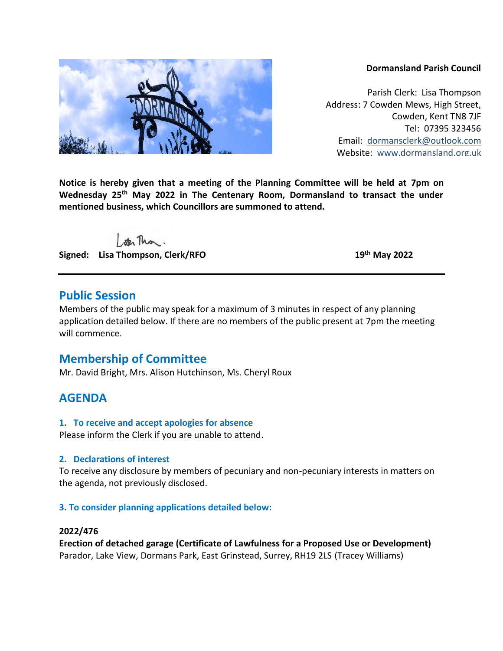#### **Dormansland Parish Council**

Parish Clerk: Lisa Thompson Address: 7 Cowden Mews, High Street, Cowden, Kent TN8 7JF Tel: 07395 323456 Email: [dormansclerk@outlook.com](mailto:dormansclerk@outlook.com) Website: [www.dormansland.org.uk](http://www.dormansland.org.uk/)

**Notice is hereby given that a meeting of the Planning Committee will be held at 7pm on Wednesday 25 th May 2022 in The Centenary Room, Dormansland to transact the under mentioned business, which Councillors are summoned to attend.**

ster This.

**Signed:** Lisa Thompson, Clerk/RFO

**th May 2022**

### **Public Session**

Members of the public may speak for a maximum of 3 minutes in respect of any planning application detailed below. If there are no members of the public present at 7pm the meeting will commence.

# **Membership of Committee**

Mr. David Bright, Mrs. Alison Hutchinson, Ms. Cheryl Roux

## **AGENDA**

#### **1. To receive and accept apologies for absence**

Please inform the Clerk if you are unable to attend.

#### **2. Declarations of interest**

To receive any disclosure by members of pecuniary and non-pecuniary interests in matters on the agenda, not previously disclosed.

#### **3. To consider planning applications detailed below:**

#### **2022/476**

**Erection of detached garage (Certificate of Lawfulness for a Proposed Use or Development)** Parador, Lake View, Dormans Park, East Grinstead, Surrey, RH19 2LS (Tracey Williams)